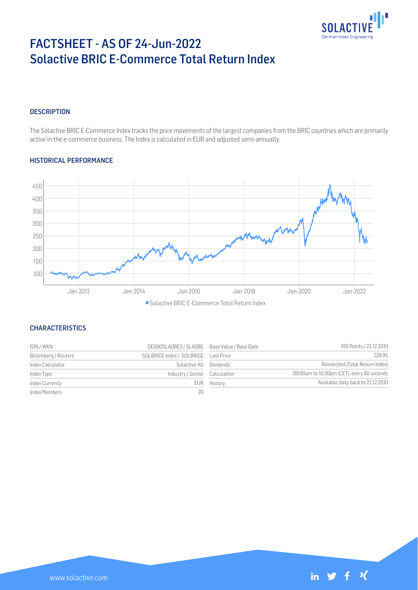

 $f \mathcal{X}$ 

 $\mathbf{in}$   $\blacktriangleright$ 

# FACTSHEET - AS OF 24-Jun-2022 Solactive BRIC E-Commerce Total Return Index

# **DESCRIPTION**

The Solactive BRIC E-Commerce Index tracks the price movements of the largest companies from the BRIC countries which are primarily active in the e-commerce business. The Index is calculated in EUR and adjusted semi-annually.

## HISTORICAL PERFORMANCE



■ Solactive BRIC E-Commerce Total Return Index

# **CHARACTERISTICS**

| ISIN / WKN          | DE000SLA0BE3 / SLA0BE Base Value / Base Date |             | 100 Points / 22.12.2010                    |
|---------------------|----------------------------------------------|-------------|--------------------------------------------|
| Bloomberg / Reuters |                                              |             | 229.95                                     |
| Index Calculator    | Solactive AG Dividends                       |             | Reinvested (Total Return Index)            |
| Index Type          | Industry/Sector Calculation                  |             | 09:00am to 10:30pm (CET), every 60 seconds |
| Index Currency      |                                              | EUR History | Available daily back to 22.12.2010         |
| Index Members       | 20                                           |             |                                            |

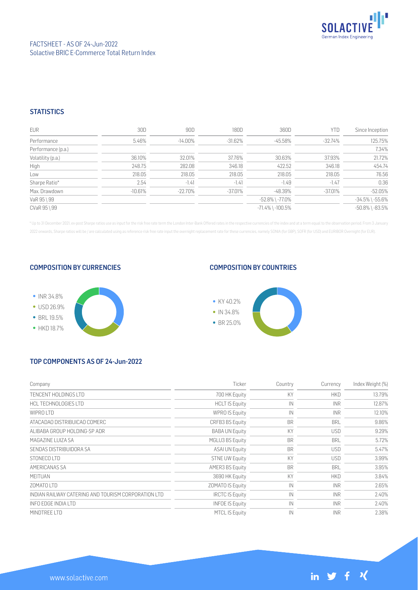

## **STATISTICS**

| <b>EUR</b>         | 30D     | 90D     | 180D       | 360D                   | YTD       | Since Inception       |
|--------------------|---------|---------|------------|------------------------|-----------|-----------------------|
| Performance        | 5.46%   | -14.00% | $-31.62\%$ | -45.58%                | -32.74%   | 125.75%               |
| Performance (p.a.) |         |         |            |                        |           | 7.34%                 |
| Volatility (p.a.)  | 36.10%  | 32.01%  | 37.76%     | 30.63%                 | 37.93%    | 21.72%                |
| High               | 248.75  | 282.08  | 346.18     | 422.52                 | 346.18    | 454.74                |
| Low                | 218.05  | 218.05  | 218.05     | 218.05                 | 218.05    | 76.56                 |
| Sharpe Ratio*      | 2.54    | $-1.41$ | $-1.41$    | $-1.49$                | $-1.47$   | 0.36                  |
| Max. Drawdown      | -10.61% | -22.70% | $-37.01%$  | -48.39%                | $-37.01%$ | $-52.05%$             |
| VaR 95 \ 99        |         |         |            | $-52.8\%$ \ $-77.0\%$  |           | $-34.5\%$ \ $-55.6\%$ |
| CVaR 95 \ 99       |         |         |            | $-71.4\%$ \ $-100.5\%$ |           | $-50.8\%$ \ $-83.5\%$ |

\* Up to 31 December 2021, ex-post Sharpe ratios use as input for the risk free rate term the London Inter-Bank Offered rates in the respective currencies of the index and at a term equal to the observation period. From 3 J 2022 onwards, Sharpe ratios will be / are calculated using as reference risk free rate input the overnight replacement rate for these currencies, namely SONIA (for GBP), SOFR (for USD) and EURIBOR Overnight (for EUR).

#### COMPOSITION BY CURRENCIES



## COMPOSITION BY COUNTRIES



# TOP COMPONENTS AS OF 24-Jun-2022

| Company                                             | Ticker                  | Country      | Currency   | Index Weight (%) |
|-----------------------------------------------------|-------------------------|--------------|------------|------------------|
| TENCENT HOLDINGS LTD                                | 700 HK Equity           | KY           | <b>HKD</b> | 13.79%           |
| HCL TECHNOLOGIES LTD                                | <b>HCLT IS Equity</b>   | IN           | <b>INR</b> | 12.87%           |
| WIPROITD                                            | <b>WPRO IS Equity</b>   | $\mathbb{N}$ | <b>INR</b> | 12.10%           |
| ATACADAO DISTRIBUICAO COMERC                        | CRFB3 BS Equity         | <b>BR</b>    | <b>BRL</b> | 9.86%            |
| ALIBABA GROUP HOLDING-SP ADR                        | <b>BABA UN Equity</b>   | KY           | <b>USD</b> | 9.29%            |
| MAGAZINE LUIZA SA                                   | MGLU3 BS Equity         | <b>BR</b>    | <b>BRL</b> | 5.72%            |
| SENDAS DISTRIBUIDORA SA                             | <b>ASAI UN Equity</b>   | <b>BR</b>    | <b>USD</b> | 5.47%            |
| STONECO LTD                                         | <b>STNE UW Equity</b>   | KY           | <b>USD</b> | 3.99%            |
| AMERICANAS SA                                       | AMER3 BS Equity         | <b>BR</b>    | <b>BRL</b> | 3.95%            |
| <b>MEITUAN</b>                                      | 3690 HK Equity          | KY           | <b>HKD</b> | 3.84%            |
| ZOMATO LTD                                          | <b>ZOMATO IS Equity</b> | IN           | <b>INR</b> | 2.65%            |
| INDIAN RAILWAY CATERING AND TOURISM CORPORATION LTD | <b>IRCTC IS Equity</b>  | IN           | <b>INR</b> | 2.40%            |
| INFO EDGE INDIA LTD                                 | <b>INFOE IS Equity</b>  | IN           | <b>INR</b> | 2.40%            |
| MINDTREE LTD                                        | <b>MTCL IS Equity</b>   | IN           | <b>INR</b> | 2.38%            |